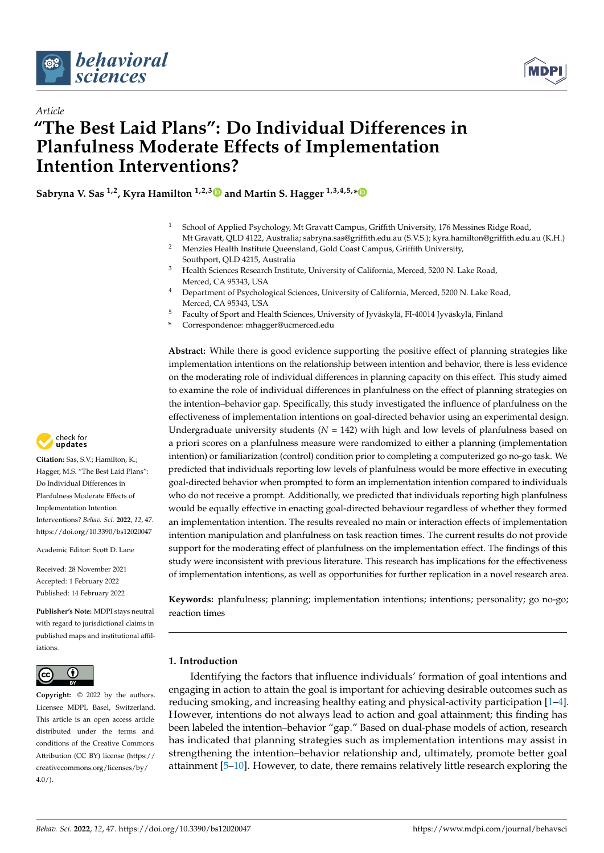



# *Article* **"The Best Laid Plans": Do Individual Differences in Planfulness Moderate Effects of Implementation Intention Interventions?**

**Sabryna V. Sas 1,2, Kyra Hamilton 1,2,[3](https://orcid.org/0000-0001-9975-685X) and Martin S. Hagger 1,3,4,5,[\\*](https://orcid.org/0000-0002-2685-1546)**

- <sup>1</sup> School of Applied Psychology, Mt Gravatt Campus, Griffith University, 176 Messines Ridge Road, Mt Gravatt, QLD 4122, Australia; sabryna.sas@griffith.edu.au (S.V.S.); kyra.hamilton@griffith.edu.au (K.H.)
- <sup>2</sup> Menzies Health Institute Queensland, Gold Coast Campus, Griffith University, Southport, QLD 4215, Australia
- <sup>3</sup> Health Sciences Research Institute, University of California, Merced, 5200 N. Lake Road, Merced, CA 95343, USA
- <sup>4</sup> Department of Psychological Sciences, University of California, Merced, 5200 N. Lake Road, Merced, CA 95343, USA
- <sup>5</sup> Faculty of Sport and Health Sciences, University of Jyväskylä, FI-40014 Jyväskylä, Finland
- **\*** Correspondence: mhagger@ucmerced.edu

**Abstract:** While there is good evidence supporting the positive effect of planning strategies like implementation intentions on the relationship between intention and behavior, there is less evidence on the moderating role of individual differences in planning capacity on this effect. This study aimed to examine the role of individual differences in planfulness on the effect of planning strategies on the intention–behavior gap. Specifically, this study investigated the influence of planfulness on the effectiveness of implementation intentions on goal-directed behavior using an experimental design. Undergraduate university students  $(N = 142)$  with high and low levels of planfulness based on a priori scores on a planfulness measure were randomized to either a planning (implementation intention) or familiarization (control) condition prior to completing a computerized go no-go task. We predicted that individuals reporting low levels of planfulness would be more effective in executing goal-directed behavior when prompted to form an implementation intention compared to individuals who do not receive a prompt. Additionally, we predicted that individuals reporting high planfulness would be equally effective in enacting goal-directed behaviour regardless of whether they formed an implementation intention. The results revealed no main or interaction effects of implementation intention manipulation and planfulness on task reaction times. The current results do not provide support for the moderating effect of planfulness on the implementation effect. The findings of this study were inconsistent with previous literature. This research has implications for the effectiveness of implementation intentions, as well as opportunities for further replication in a novel research area.

**Keywords:** planfulness; planning; implementation intentions; intentions; personality; go no-go; reaction times

# **1. Introduction**

Identifying the factors that influence individuals' formation of goal intentions and engaging in action to attain the goal is important for achieving desirable outcomes such as reducing smoking, and increasing healthy eating and physical-activity participation [\[1](#page-10-0)[–4\]](#page-10-1). However, intentions do not always lead to action and goal attainment; this finding has been labeled the intention–behavior "gap." Based on dual-phase models of action, research has indicated that planning strategies such as implementation intentions may assist in strengthening the intention–behavior relationship and, ultimately, promote better goal attainment [\[5](#page-10-2)[–10\]](#page-10-3). However, to date, there remains relatively little research exploring the



**Citation:** Sas, S.V.; Hamilton, K.; Hagger, M.S. "The Best Laid Plans": Do Individual Differences in Planfulness Moderate Effects of Implementation Intention Interventions? *Behav. Sci.* **2022**, *12*, 47. <https://doi.org/10.3390/bs12020047>

Academic Editor: Scott D. Lane

Received: 28 November 2021 Accepted: 1 February 2022 Published: 14 February 2022

**Publisher's Note:** MDPI stays neutral with regard to jurisdictional claims in published maps and institutional affiliations.



**Copyright:** © 2022 by the authors. Licensee MDPI, Basel, Switzerland. This article is an open access article distributed under the terms and conditions of the Creative Commons Attribution (CC BY) license [\(https://](https://creativecommons.org/licenses/by/4.0/) [creativecommons.org/licenses/by/](https://creativecommons.org/licenses/by/4.0/)  $4.0/$ ).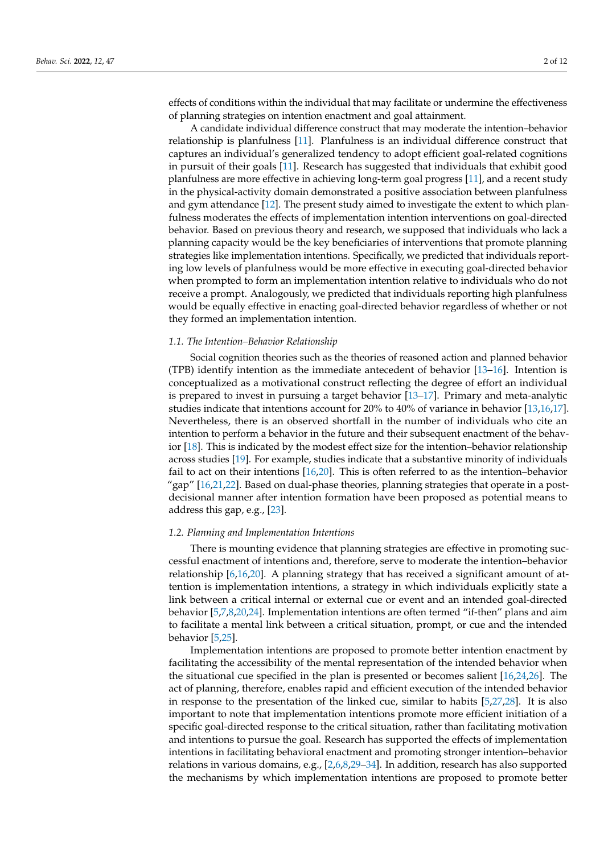effects of conditions within the individual that may facilitate or undermine the effectiveness of planning strategies on intention enactment and goal attainment.

A candidate individual difference construct that may moderate the intention–behavior relationship is planfulness [\[11\]](#page-10-4). Planfulness is an individual difference construct that captures an individual's generalized tendency to adopt efficient goal-related cognitions in pursuit of their goals [\[11\]](#page-10-4). Research has suggested that individuals that exhibit good planfulness are more effective in achieving long-term goal progress [\[11\]](#page-10-4), and a recent study in the physical-activity domain demonstrated a positive association between planfulness and gym attendance [\[12\]](#page-10-5). The present study aimed to investigate the extent to which planfulness moderates the effects of implementation intention interventions on goal-directed behavior. Based on previous theory and research, we supposed that individuals who lack a planning capacity would be the key beneficiaries of interventions that promote planning strategies like implementation intentions. Specifically, we predicted that individuals reporting low levels of planfulness would be more effective in executing goal-directed behavior when prompted to form an implementation intention relative to individuals who do not receive a prompt. Analogously, we predicted that individuals reporting high planfulness would be equally effective in enacting goal-directed behavior regardless of whether or not they formed an implementation intention.

#### *1.1. The Intention–Behavior Relationship*

Social cognition theories such as the theories of reasoned action and planned behavior (TPB) identify intention as the immediate antecedent of behavior [\[13–](#page-10-6)[16\]](#page-10-7). Intention is conceptualized as a motivational construct reflecting the degree of effort an individual is prepared to invest in pursuing a target behavior [\[13](#page-10-6)[–17\]](#page-10-8). Primary and meta-analytic studies indicate that intentions account for 20% to 40% of variance in behavior [\[13,](#page-10-6)[16,](#page-10-7)[17\]](#page-10-8). Nevertheless, there is an observed shortfall in the number of individuals who cite an intention to perform a behavior in the future and their subsequent enactment of the behavior [\[18\]](#page-10-9). This is indicated by the modest effect size for the intention–behavior relationship across studies [\[19\]](#page-10-10). For example, studies indicate that a substantive minority of individuals fail to act on their intentions [\[16,](#page-10-7)[20\]](#page-10-11). This is often referred to as the intention–behavior "gap" [\[16](#page-10-7)[,21](#page-10-12)[,22\]](#page-10-13). Based on dual-phase theories, planning strategies that operate in a postdecisional manner after intention formation have been proposed as potential means to address this gap, e.g., [\[23\]](#page-10-14).

#### *1.2. Planning and Implementation Intentions*

There is mounting evidence that planning strategies are effective in promoting successful enactment of intentions and, therefore, serve to moderate the intention–behavior relationship [\[6,](#page-10-15)[16,](#page-10-7)[20\]](#page-10-11). A planning strategy that has received a significant amount of attention is implementation intentions, a strategy in which individuals explicitly state a link between a critical internal or external cue or event and an intended goal-directed behavior [\[5,](#page-10-2)[7](#page-10-16)[,8](#page-10-17)[,20](#page-10-11)[,24\]](#page-10-18). Implementation intentions are often termed "if-then" plans and aim to facilitate a mental link between a critical situation, prompt, or cue and the intended behavior [\[5,](#page-10-2)[25\]](#page-10-19).

Implementation intentions are proposed to promote better intention enactment by facilitating the accessibility of the mental representation of the intended behavior when the situational cue specified in the plan is presented or becomes salient [\[16](#page-10-7)[,24](#page-10-18)[,26\]](#page-10-20). The act of planning, therefore, enables rapid and efficient execution of the intended behavior in response to the presentation of the linked cue, similar to habits [\[5](#page-10-2)[,27](#page-10-21)[,28\]](#page-10-22). It is also important to note that implementation intentions promote more efficient initiation of a specific goal-directed response to the critical situation, rather than facilitating motivation and intentions to pursue the goal. Research has supported the effects of implementation intentions in facilitating behavioral enactment and promoting stronger intention–behavior relations in various domains, e.g., [\[2,](#page-10-23)[6](#page-10-15)[,8](#page-10-17)[,29–](#page-10-24)[34\]](#page-11-0). In addition, research has also supported the mechanisms by which implementation intentions are proposed to promote better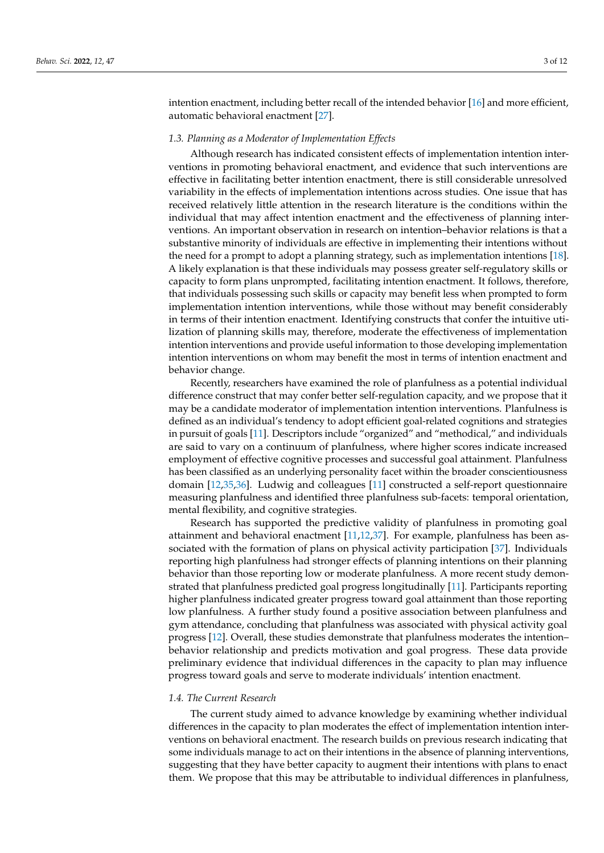intention enactment, including better recall of the intended behavior [\[16\]](#page-10-7) and more efficient, automatic behavioral enactment [\[27\]](#page-10-21).

#### *1.3. Planning as a Moderator of Implementation Effects*

Although research has indicated consistent effects of implementation intention interventions in promoting behavioral enactment, and evidence that such interventions are effective in facilitating better intention enactment, there is still considerable unresolved variability in the effects of implementation intentions across studies. One issue that has received relatively little attention in the research literature is the conditions within the individual that may affect intention enactment and the effectiveness of planning interventions. An important observation in research on intention–behavior relations is that a substantive minority of individuals are effective in implementing their intentions without the need for a prompt to adopt a planning strategy, such as implementation intentions [\[18\]](#page-10-9). A likely explanation is that these individuals may possess greater self-regulatory skills or capacity to form plans unprompted, facilitating intention enactment. It follows, therefore, that individuals possessing such skills or capacity may benefit less when prompted to form implementation intention interventions, while those without may benefit considerably in terms of their intention enactment. Identifying constructs that confer the intuitive utilization of planning skills may, therefore, moderate the effectiveness of implementation intention interventions and provide useful information to those developing implementation intention interventions on whom may benefit the most in terms of intention enactment and behavior change.

Recently, researchers have examined the role of planfulness as a potential individual difference construct that may confer better self-regulation capacity, and we propose that it may be a candidate moderator of implementation intention interventions. Planfulness is defined as an individual's tendency to adopt efficient goal-related cognitions and strategies in pursuit of goals [\[11\]](#page-10-4). Descriptors include "organized" and "methodical," and individuals are said to vary on a continuum of planfulness, where higher scores indicate increased employment of effective cognitive processes and successful goal attainment. Planfulness has been classified as an underlying personality facet within the broader conscientiousness domain [\[12,](#page-10-5)[35,](#page-11-1)[36\]](#page-11-2). Ludwig and colleagues [\[11\]](#page-10-4) constructed a self-report questionnaire measuring planfulness and identified three planfulness sub-facets: temporal orientation, mental flexibility, and cognitive strategies.

Research has supported the predictive validity of planfulness in promoting goal attainment and behavioral enactment [\[11,](#page-10-4)[12,](#page-10-5)[37\]](#page-11-3). For example, planfulness has been associated with the formation of plans on physical activity participation [\[37\]](#page-11-3). Individuals reporting high planfulness had stronger effects of planning intentions on their planning behavior than those reporting low or moderate planfulness. A more recent study demonstrated that planfulness predicted goal progress longitudinally [\[11\]](#page-10-4). Participants reporting higher planfulness indicated greater progress toward goal attainment than those reporting low planfulness. A further study found a positive association between planfulness and gym attendance, concluding that planfulness was associated with physical activity goal progress [\[12\]](#page-10-5). Overall, these studies demonstrate that planfulness moderates the intention– behavior relationship and predicts motivation and goal progress. These data provide preliminary evidence that individual differences in the capacity to plan may influence progress toward goals and serve to moderate individuals' intention enactment.

#### *1.4. The Current Research*

The current study aimed to advance knowledge by examining whether individual differences in the capacity to plan moderates the effect of implementation intention interventions on behavioral enactment. The research builds on previous research indicating that some individuals manage to act on their intentions in the absence of planning interventions, suggesting that they have better capacity to augment their intentions with plans to enact them. We propose that this may be attributable to individual differences in planfulness,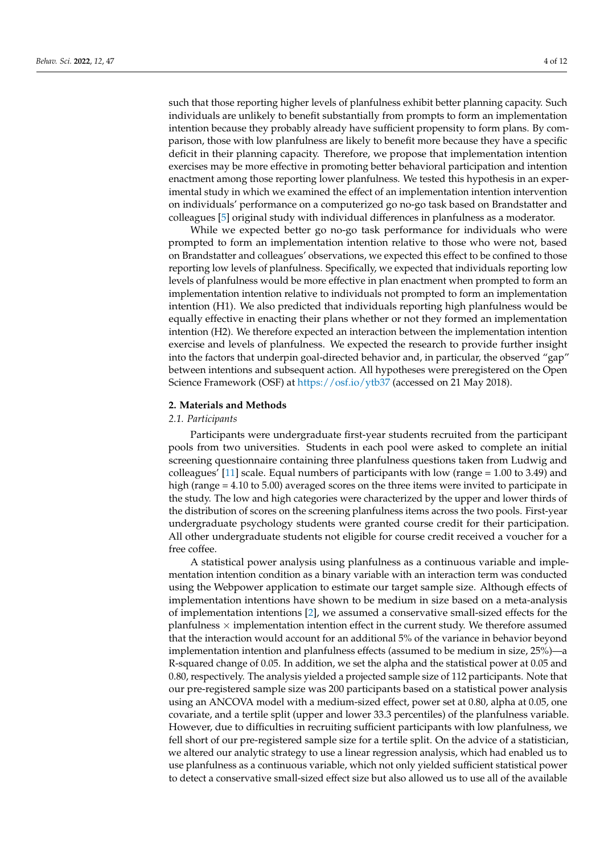such that those reporting higher levels of planfulness exhibit better planning capacity. Such individuals are unlikely to benefit substantially from prompts to form an implementation intention because they probably already have sufficient propensity to form plans. By comparison, those with low planfulness are likely to benefit more because they have a specific deficit in their planning capacity. Therefore, we propose that implementation intention exercises may be more effective in promoting better behavioral participation and intention enactment among those reporting lower planfulness. We tested this hypothesis in an experimental study in which we examined the effect of an implementation intention intervention on individuals' performance on a computerized go no-go task based on Brandstatter and colleagues [\[5\]](#page-10-2) original study with individual differences in planfulness as a moderator.

While we expected better go no-go task performance for individuals who were prompted to form an implementation intention relative to those who were not, based on Brandstatter and colleagues' observations, we expected this effect to be confined to those reporting low levels of planfulness. Specifically, we expected that individuals reporting low levels of planfulness would be more effective in plan enactment when prompted to form an implementation intention relative to individuals not prompted to form an implementation intention (H1). We also predicted that individuals reporting high planfulness would be equally effective in enacting their plans whether or not they formed an implementation intention (H2). We therefore expected an interaction between the implementation intention exercise and levels of planfulness. We expected the research to provide further insight into the factors that underpin goal-directed behavior and, in particular, the observed "gap" between intentions and subsequent action. All hypotheses were preregistered on the Open Science Framework (OSF) at <https://osf.io/ytb37> (accessed on 21 May 2018).

#### **2. Materials and Methods**

# *2.1. Participants*

Participants were undergraduate first-year students recruited from the participant pools from two universities. Students in each pool were asked to complete an initial screening questionnaire containing three planfulness questions taken from Ludwig and colleagues' [\[11\]](#page-10-4) scale. Equal numbers of participants with low (range = 1.00 to 3.49) and high (range  $= 4.10$  to 5.00) averaged scores on the three items were invited to participate in the study. The low and high categories were characterized by the upper and lower thirds of the distribution of scores on the screening planfulness items across the two pools. First-year undergraduate psychology students were granted course credit for their participation. All other undergraduate students not eligible for course credit received a voucher for a free coffee.

A statistical power analysis using planfulness as a continuous variable and implementation intention condition as a binary variable with an interaction term was conducted using the Webpower application to estimate our target sample size. Although effects of implementation intentions have shown to be medium in size based on a meta-analysis of implementation intentions [\[2\]](#page-10-23), we assumed a conservative small-sized effects for the planfulness  $\times$  implementation intention effect in the current study. We therefore assumed that the interaction would account for an additional 5% of the variance in behavior beyond implementation intention and planfulness effects (assumed to be medium in size, 25%)—a R-squared change of 0.05. In addition, we set the alpha and the statistical power at 0.05 and 0.80, respectively. The analysis yielded a projected sample size of 112 participants. Note that our pre-registered sample size was 200 participants based on a statistical power analysis using an ANCOVA model with a medium-sized effect, power set at 0.80, alpha at 0.05, one covariate, and a tertile split (upper and lower 33.3 percentiles) of the planfulness variable. However, due to difficulties in recruiting sufficient participants with low planfulness, we fell short of our pre-registered sample size for a tertile split. On the advice of a statistician, we altered our analytic strategy to use a linear regression analysis, which had enabled us to use planfulness as a continuous variable, which not only yielded sufficient statistical power to detect a conservative small-sized effect size but also allowed us to use all of the available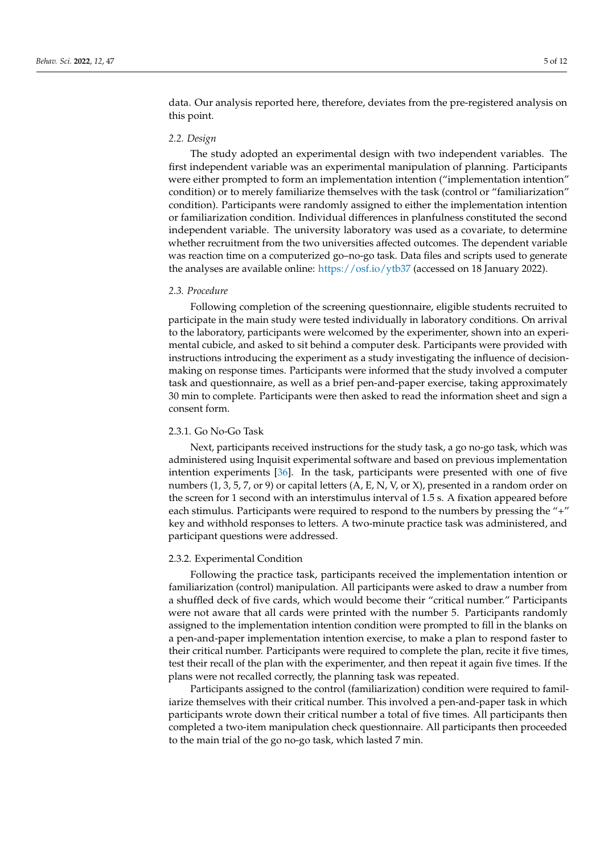data. Our analysis reported here, therefore, deviates from the pre-registered analysis on this point.

## *2.2. Design*

The study adopted an experimental design with two independent variables. The first independent variable was an experimental manipulation of planning. Participants were either prompted to form an implementation intention ("implementation intention" condition) or to merely familiarize themselves with the task (control or "familiarization" condition). Participants were randomly assigned to either the implementation intention or familiarization condition. Individual differences in planfulness constituted the second independent variable. The university laboratory was used as a covariate, to determine whether recruitment from the two universities affected outcomes. The dependent variable was reaction time on a computerized go–no-go task. Data files and scripts used to generate the analyses are available online: <https://osf.io/ytb37> (accessed on 18 January 2022).

#### *2.3. Procedure*

Following completion of the screening questionnaire, eligible students recruited to participate in the main study were tested individually in laboratory conditions. On arrival to the laboratory, participants were welcomed by the experimenter, shown into an experimental cubicle, and asked to sit behind a computer desk. Participants were provided with instructions introducing the experiment as a study investigating the influence of decisionmaking on response times. Participants were informed that the study involved a computer task and questionnaire, as well as a brief pen-and-paper exercise, taking approximately 30 min to complete. Participants were then asked to read the information sheet and sign a consent form.

#### 2.3.1. Go No-Go Task

Next, participants received instructions for the study task, a go no-go task, which was administered using Inquisit experimental software and based on previous implementation intention experiments [\[36\]](#page-11-2). In the task, participants were presented with one of five numbers  $(1, 3, 5, 7, or 9)$  or capital letters  $(A, E, N, V, or X)$ , presented in a random order on the screen for 1 second with an interstimulus interval of 1.5 s. A fixation appeared before each stimulus. Participants were required to respond to the numbers by pressing the "+" key and withhold responses to letters. A two-minute practice task was administered, and participant questions were addressed.

#### 2.3.2. Experimental Condition

Following the practice task, participants received the implementation intention or familiarization (control) manipulation. All participants were asked to draw a number from a shuffled deck of five cards, which would become their "critical number." Participants were not aware that all cards were printed with the number 5. Participants randomly assigned to the implementation intention condition were prompted to fill in the blanks on a pen-and-paper implementation intention exercise, to make a plan to respond faster to their critical number. Participants were required to complete the plan, recite it five times, test their recall of the plan with the experimenter, and then repeat it again five times. If the plans were not recalled correctly, the planning task was repeated.

Participants assigned to the control (familiarization) condition were required to familiarize themselves with their critical number. This involved a pen-and-paper task in which participants wrote down their critical number a total of five times. All participants then completed a two-item manipulation check questionnaire. All participants then proceeded to the main trial of the go no-go task, which lasted 7 min.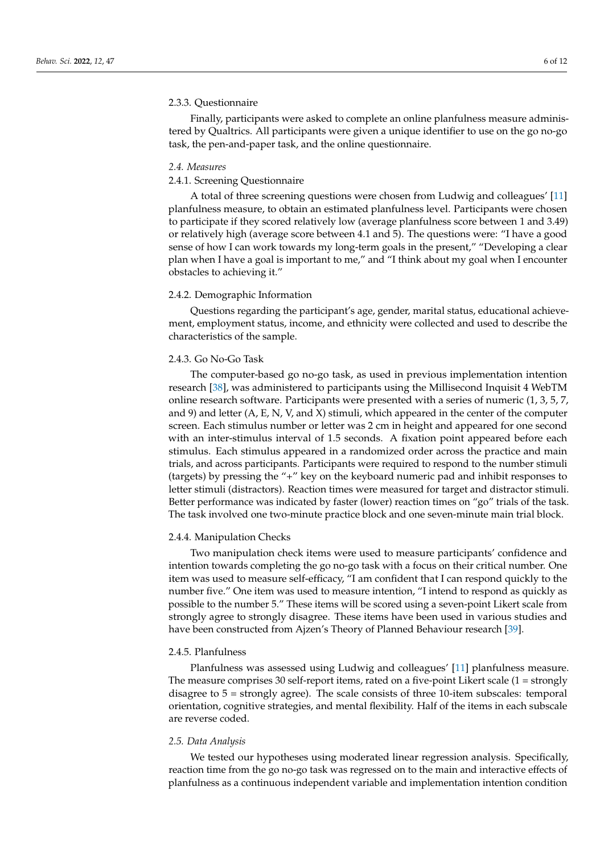#### 2.3.3. Questionnaire

Finally, participants were asked to complete an online planfulness measure administered by Qualtrics. All participants were given a unique identifier to use on the go no-go task, the pen-and-paper task, and the online questionnaire.

#### *2.4. Measures*

# 2.4.1. Screening Questionnaire

A total of three screening questions were chosen from Ludwig and colleagues' [\[11\]](#page-10-4) planfulness measure, to obtain an estimated planfulness level. Participants were chosen to participate if they scored relatively low (average planfulness score between 1 and 3.49) or relatively high (average score between 4.1 and 5). The questions were: "I have a good sense of how I can work towards my long-term goals in the present," "Developing a clear plan when I have a goal is important to me," and "I think about my goal when I encounter obstacles to achieving it."

#### 2.4.2. Demographic Information

Questions regarding the participant's age, gender, marital status, educational achievement, employment status, income, and ethnicity were collected and used to describe the characteristics of the sample.

## 2.4.3. Go No-Go Task

The computer-based go no-go task, as used in previous implementation intention research [\[38\]](#page-11-4), was administered to participants using the Millisecond Inquisit 4 WebTM online research software. Participants were presented with a series of numeric (1, 3, 5, 7, and 9) and letter  $(A, E, N, V, and X)$  stimuli, which appeared in the center of the computer screen. Each stimulus number or letter was 2 cm in height and appeared for one second with an inter-stimulus interval of 1.5 seconds. A fixation point appeared before each stimulus. Each stimulus appeared in a randomized order across the practice and main trials, and across participants. Participants were required to respond to the number stimuli (targets) by pressing the "+" key on the keyboard numeric pad and inhibit responses to letter stimuli (distractors). Reaction times were measured for target and distractor stimuli. Better performance was indicated by faster (lower) reaction times on "go" trials of the task. The task involved one two-minute practice block and one seven-minute main trial block.

# 2.4.4. Manipulation Checks

Two manipulation check items were used to measure participants' confidence and intention towards completing the go no-go task with a focus on their critical number. One item was used to measure self-efficacy, "I am confident that I can respond quickly to the number five." One item was used to measure intention, "I intend to respond as quickly as possible to the number 5." These items will be scored using a seven-point Likert scale from strongly agree to strongly disagree. These items have been used in various studies and have been constructed from Ajzen's Theory of Planned Behaviour research [\[39\]](#page-11-5).

#### 2.4.5. Planfulness

Planfulness was assessed using Ludwig and colleagues' [\[11\]](#page-10-4) planfulness measure. The measure comprises 30 self-report items, rated on a five-point Likert scale  $(1 =$  strongly disagree to  $5 =$  strongly agree). The scale consists of three 10-item subscales: temporal orientation, cognitive strategies, and mental flexibility. Half of the items in each subscale are reverse coded.

#### *2.5. Data Analysis*

We tested our hypotheses using moderated linear regression analysis. Specifically, reaction time from the go no-go task was regressed on to the main and interactive effects of planfulness as a continuous independent variable and implementation intention condition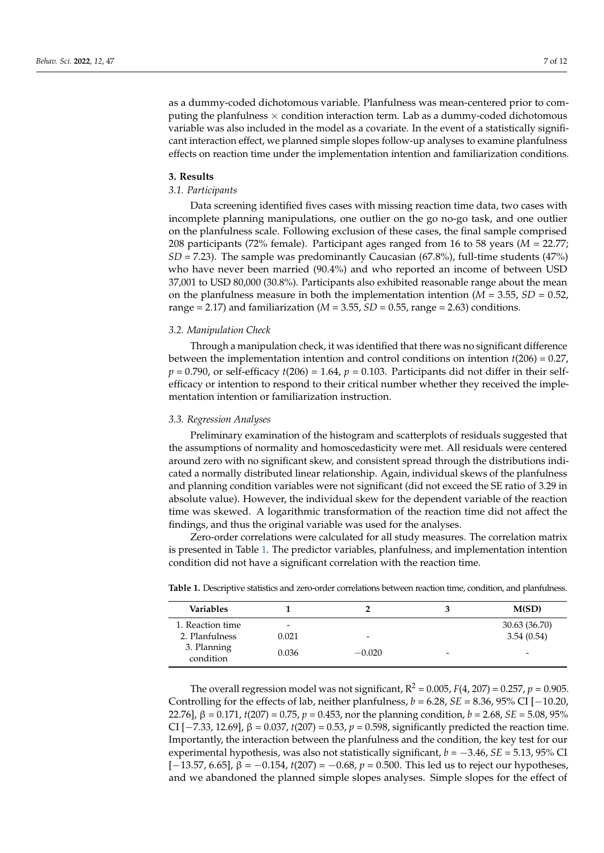as a dummy-coded dichotomous variable. Planfulness was mean-centered prior to computing the planfulness  $\times$  condition interaction term. Lab as a dummy-coded dichotomous variable was also included in the model as a covariate. In the event of a statistically significant interaction effect, we planned simple slopes follow-up analyses to examine planfulness effects on reaction time under the implementation intention and familiarization conditions.

#### **3. Results**

#### *3.1. Participants*

Data screening identified fives cases with missing reaction time data, two cases with incomplete planning manipulations, one outlier on the go no-go task, and one outlier on the planfulness scale. Following exclusion of these cases, the final sample comprised 208 participants (72% female). Participant ages ranged from 16 to 58 years (*M* = 22.77; *SD* = 7.23). The sample was predominantly Caucasian (67.8%), full-time students (47%) who have never been married (90.4%) and who reported an income of between USD 37,001 to USD 80,000 (30.8%). Participants also exhibited reasonable range about the mean on the planfulness measure in both the implementation intention  $(M = 3.55, SD = 0.52)$ range = 2.17) and familiarization ( $M = 3.55$ ,  $SD = 0.55$ , range = 2.63) conditions.

#### *3.2. Manipulation Check*

Through a manipulation check, it was identified that there was no significant difference between the implementation intention and control conditions on intention *t*(206) = 0.27,  $p = 0.790$ , or self-efficacy  $t(206) = 1.64$ ,  $p = 0.103$ . Participants did not differ in their selfefficacy or intention to respond to their critical number whether they received the implementation intention or familiarization instruction.

#### *3.3. Regression Analyses*

Preliminary examination of the histogram and scatterplots of residuals suggested that the assumptions of normality and homoscedasticity were met. All residuals were centered around zero with no significant skew, and consistent spread through the distributions indicated a normally distributed linear relationship. Again, individual skews of the planfulness and planning condition variables were not significant (did not exceed the SE ratio of 3.29 in absolute value). However, the individual skew for the dependent variable of the reaction time was skewed. A logarithmic transformation of the reaction time did not affect the findings, and thus the original variable was used for the analyses.

Zero-order correlations were calculated for all study measures. The correlation matrix is presented in Table [1.](#page-6-0) The predictor variables, planfulness, and implementation intention condition did not have a significant correlation with the reaction time.

| Variables                |                          |                          |                          | M(SD)                    |
|--------------------------|--------------------------|--------------------------|--------------------------|--------------------------|
| 1. Reaction time         | $\overline{\phantom{a}}$ |                          |                          | 30.63 (36.70)            |
| 2. Planfulness           | 0.021                    | $\overline{\phantom{0}}$ |                          | 3.54(0.54)               |
| 3. Planning<br>condition | 0.036                    | $-0.020$                 | $\overline{\phantom{a}}$ | $\overline{\phantom{0}}$ |

<span id="page-6-0"></span>**Table 1.** Descriptive statistics and zero-order correlations between reaction time, condition, and planfulness.

The overall regression model was not significant,  $R^2 = 0.005$ ,  $F(4, 207) = 0.257$ ,  $p = 0.905$ . Controlling for the effects of lab, neither planfulness, *b* = 6.28, *SE* = 8.36, 95% CI [−10.20, 22.76],  $β = 0.171$ ,  $t(207) = 0.75$ ,  $p = 0.453$ , nor the planning condition,  $b = 2.68$ ,  $SE = 5.08$ ,  $95\%$ CI [ $-7.33$ , 12.69], β = 0.037, *t*(207) = 0.53, *p* = 0.598, significantly predicted the reaction time. Importantly, the interaction between the planfulness and the condition, the key test for our experimental hypothesis, was also not statistically significant, *b* = −3.46, *SE* = 5.13, 95% CI [−13.57, 6.65], β = −0.154, *t*(207) = −0.68, *p* = 0.500. This led us to reject our hypotheses, and we abandoned the planned simple slopes analyses. Simple slopes for the effect of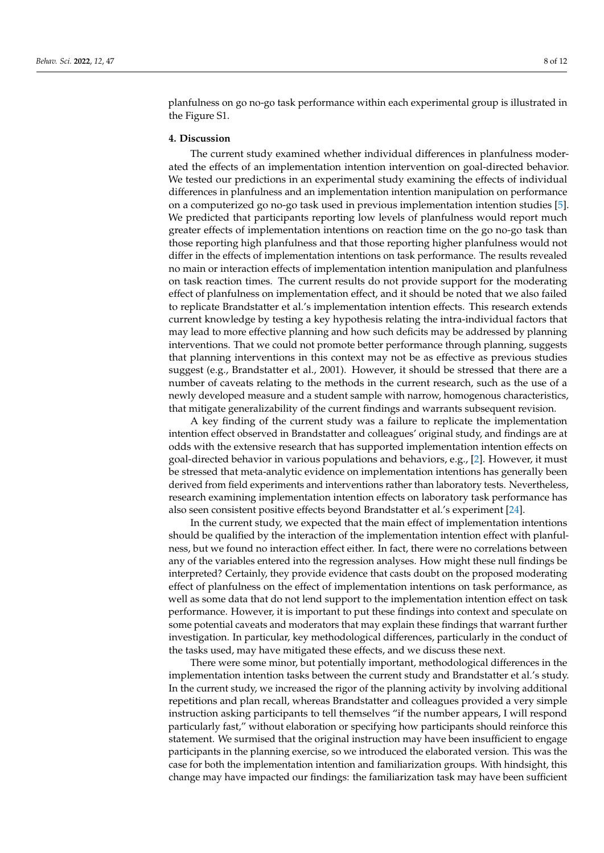planfulness on go no-go task performance within each experimental group is illustrated in the Figure S1.

#### **4. Discussion**

The current study examined whether individual differences in planfulness moderated the effects of an implementation intention intervention on goal-directed behavior. We tested our predictions in an experimental study examining the effects of individual differences in planfulness and an implementation intention manipulation on performance on a computerized go no-go task used in previous implementation intention studies [\[5\]](#page-10-2). We predicted that participants reporting low levels of planfulness would report much greater effects of implementation intentions on reaction time on the go no-go task than those reporting high planfulness and that those reporting higher planfulness would not differ in the effects of implementation intentions on task performance. The results revealed no main or interaction effects of implementation intention manipulation and planfulness on task reaction times. The current results do not provide support for the moderating effect of planfulness on implementation effect, and it should be noted that we also failed to replicate Brandstatter et al.'s implementation intention effects. This research extends current knowledge by testing a key hypothesis relating the intra-individual factors that may lead to more effective planning and how such deficits may be addressed by planning interventions. That we could not promote better performance through planning, suggests that planning interventions in this context may not be as effective as previous studies suggest (e.g., Brandstatter et al., 2001). However, it should be stressed that there are a number of caveats relating to the methods in the current research, such as the use of a newly developed measure and a student sample with narrow, homogenous characteristics, that mitigate generalizability of the current findings and warrants subsequent revision.

A key finding of the current study was a failure to replicate the implementation intention effect observed in Brandstatter and colleagues' original study, and findings are at odds with the extensive research that has supported implementation intention effects on goal-directed behavior in various populations and behaviors, e.g., [\[2\]](#page-10-23). However, it must be stressed that meta-analytic evidence on implementation intentions has generally been derived from field experiments and interventions rather than laboratory tests. Nevertheless, research examining implementation intention effects on laboratory task performance has also seen consistent positive effects beyond Brandstatter et al.'s experiment [\[24\]](#page-10-18).

In the current study, we expected that the main effect of implementation intentions should be qualified by the interaction of the implementation intention effect with planfulness, but we found no interaction effect either. In fact, there were no correlations between any of the variables entered into the regression analyses. How might these null findings be interpreted? Certainly, they provide evidence that casts doubt on the proposed moderating effect of planfulness on the effect of implementation intentions on task performance, as well as some data that do not lend support to the implementation intention effect on task performance. However, it is important to put these findings into context and speculate on some potential caveats and moderators that may explain these findings that warrant further investigation. In particular, key methodological differences, particularly in the conduct of the tasks used, may have mitigated these effects, and we discuss these next.

There were some minor, but potentially important, methodological differences in the implementation intention tasks between the current study and Brandstatter et al.'s study. In the current study, we increased the rigor of the planning activity by involving additional repetitions and plan recall, whereas Brandstatter and colleagues provided a very simple instruction asking participants to tell themselves "if the number appears, I will respond particularly fast," without elaboration or specifying how participants should reinforce this statement. We surmised that the original instruction may have been insufficient to engage participants in the planning exercise, so we introduced the elaborated version. This was the case for both the implementation intention and familiarization groups. With hindsight, this change may have impacted our findings: the familiarization task may have been sufficient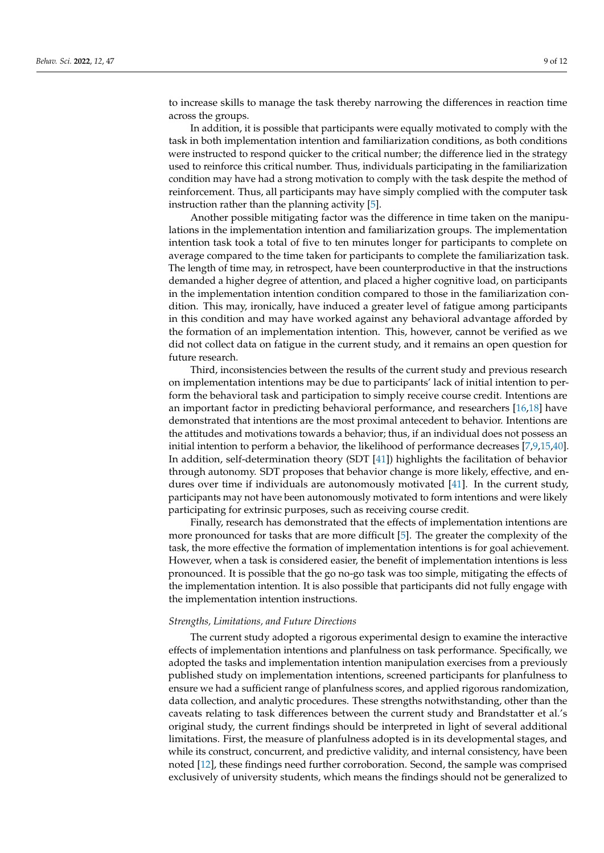to increase skills to manage the task thereby narrowing the differences in reaction time across the groups.

In addition, it is possible that participants were equally motivated to comply with the task in both implementation intention and familiarization conditions, as both conditions were instructed to respond quicker to the critical number; the difference lied in the strategy used to reinforce this critical number. Thus, individuals participating in the familiarization condition may have had a strong motivation to comply with the task despite the method of reinforcement. Thus, all participants may have simply complied with the computer task instruction rather than the planning activity [\[5\]](#page-10-2).

Another possible mitigating factor was the difference in time taken on the manipulations in the implementation intention and familiarization groups. The implementation intention task took a total of five to ten minutes longer for participants to complete on average compared to the time taken for participants to complete the familiarization task. The length of time may, in retrospect, have been counterproductive in that the instructions demanded a higher degree of attention, and placed a higher cognitive load, on participants in the implementation intention condition compared to those in the familiarization condition. This may, ironically, have induced a greater level of fatigue among participants in this condition and may have worked against any behavioral advantage afforded by the formation of an implementation intention. This, however, cannot be verified as we did not collect data on fatigue in the current study, and it remains an open question for future research.

Third, inconsistencies between the results of the current study and previous research on implementation intentions may be due to participants' lack of initial intention to perform the behavioral task and participation to simply receive course credit. Intentions are an important factor in predicting behavioral performance, and researchers [\[16](#page-10-7)[,18\]](#page-10-9) have demonstrated that intentions are the most proximal antecedent to behavior. Intentions are the attitudes and motivations towards a behavior; thus, if an individual does not possess an initial intention to perform a behavior, the likelihood of performance decreases [\[7](#page-10-16)[,9](#page-10-25)[,15](#page-10-26)[,40\]](#page-11-6). In addition, self-determination theory (SDT [\[41\]](#page-11-7)) highlights the facilitation of behavior through autonomy. SDT proposes that behavior change is more likely, effective, and endures over time if individuals are autonomously motivated [\[41\]](#page-11-7). In the current study, participants may not have been autonomously motivated to form intentions and were likely participating for extrinsic purposes, such as receiving course credit.

Finally, research has demonstrated that the effects of implementation intentions are more pronounced for tasks that are more difficult [\[5\]](#page-10-2). The greater the complexity of the task, the more effective the formation of implementation intentions is for goal achievement. However, when a task is considered easier, the benefit of implementation intentions is less pronounced. It is possible that the go no-go task was too simple, mitigating the effects of the implementation intention. It is also possible that participants did not fully engage with the implementation intention instructions.

#### *Strengths, Limitations, and Future Directions*

The current study adopted a rigorous experimental design to examine the interactive effects of implementation intentions and planfulness on task performance. Specifically, we adopted the tasks and implementation intention manipulation exercises from a previously published study on implementation intentions, screened participants for planfulness to ensure we had a sufficient range of planfulness scores, and applied rigorous randomization, data collection, and analytic procedures. These strengths notwithstanding, other than the caveats relating to task differences between the current study and Brandstatter et al.'s original study, the current findings should be interpreted in light of several additional limitations. First, the measure of planfulness adopted is in its developmental stages, and while its construct, concurrent, and predictive validity, and internal consistency, have been noted [\[12\]](#page-10-5), these findings need further corroboration. Second, the sample was comprised exclusively of university students, which means the findings should not be generalized to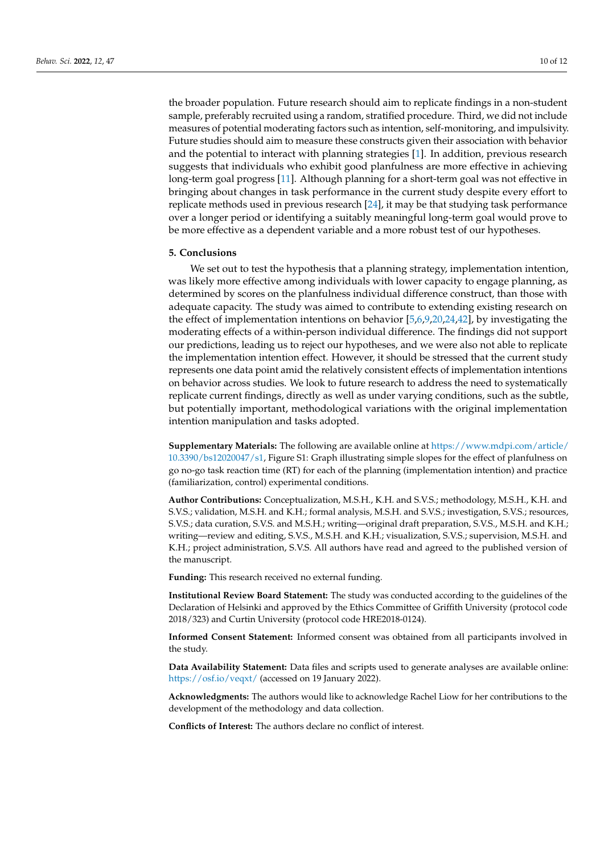the broader population. Future research should aim to replicate findings in a non-student sample, preferably recruited using a random, stratified procedure. Third, we did not include measures of potential moderating factors such as intention, self-monitoring, and impulsivity. Future studies should aim to measure these constructs given their association with behavior and the potential to interact with planning strategies [\[1\]](#page-10-0). In addition, previous research suggests that individuals who exhibit good planfulness are more effective in achieving long-term goal progress [\[11\]](#page-10-4). Although planning for a short-term goal was not effective in bringing about changes in task performance in the current study despite every effort to replicate methods used in previous research [\[24\]](#page-10-18), it may be that studying task performance over a longer period or identifying a suitably meaningful long-term goal would prove to be more effective as a dependent variable and a more robust test of our hypotheses.

#### **5. Conclusions**

We set out to test the hypothesis that a planning strategy, implementation intention, was likely more effective among individuals with lower capacity to engage planning, as determined by scores on the planfulness individual difference construct, than those with adequate capacity. The study was aimed to contribute to extending existing research on the effect of implementation intentions on behavior [\[5,](#page-10-2)[6,](#page-10-15)[9](#page-10-25)[,20](#page-10-11)[,24](#page-10-18)[,42\]](#page-11-8), by investigating the moderating effects of a within-person individual difference. The findings did not support our predictions, leading us to reject our hypotheses, and we were also not able to replicate the implementation intention effect. However, it should be stressed that the current study represents one data point amid the relatively consistent effects of implementation intentions on behavior across studies. We look to future research to address the need to systematically replicate current findings, directly as well as under varying conditions, such as the subtle, but potentially important, methodological variations with the original implementation intention manipulation and tasks adopted.

**Supplementary Materials:** The following are available online at [https://www.mdpi.com/article/](https://www.mdpi.com/article/10.3390/bs12020047/s1) [10.3390/bs12020047/s1,](https://www.mdpi.com/article/10.3390/bs12020047/s1) Figure S1: Graph illustrating simple slopes for the effect of planfulness on go no-go task reaction time (RT) for each of the planning (implementation intention) and practice (familiarization, control) experimental conditions.

**Author Contributions:** Conceptualization, M.S.H., K.H. and S.V.S.; methodology, M.S.H., K.H. and S.V.S.; validation, M.S.H. and K.H.; formal analysis, M.S.H. and S.V.S.; investigation, S.V.S.; resources, S.V.S.; data curation, S.V.S. and M.S.H.; writing—original draft preparation, S.V.S., M.S.H. and K.H.; writing—review and editing, S.V.S., M.S.H. and K.H.; visualization, S.V.S.; supervision, M.S.H. and K.H.; project administration, S.V.S. All authors have read and agreed to the published version of the manuscript.

**Funding:** This research received no external funding.

**Institutional Review Board Statement:** The study was conducted according to the guidelines of the Declaration of Helsinki and approved by the Ethics Committee of Griffith University (protocol code 2018/323) and Curtin University (protocol code HRE2018-0124).

**Informed Consent Statement:** Informed consent was obtained from all participants involved in the study.

**Data Availability Statement:** Data files and scripts used to generate analyses are available online: <https://osf.io/veqxt/> (accessed on 19 January 2022).

**Acknowledgments:** The authors would like to acknowledge Rachel Liow for her contributions to the development of the methodology and data collection.

**Conflicts of Interest:** The authors declare no conflict of interest.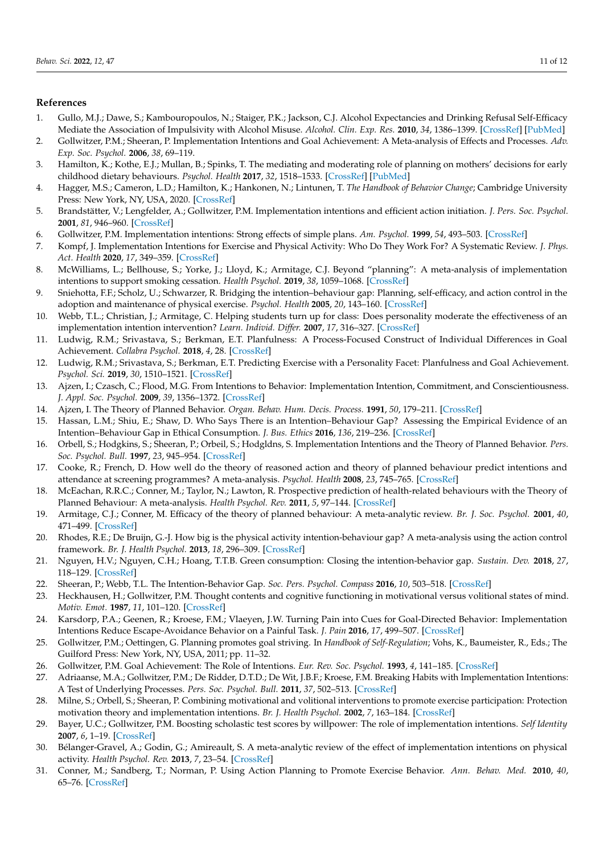# **References**

- <span id="page-10-0"></span>1. Gullo, M.J.; Dawe, S.; Kambouropoulos, N.; Staiger, P.K.; Jackson, C.J. Alcohol Expectancies and Drinking Refusal Self-Efficacy Mediate the Association of Impulsivity with Alcohol Misuse. *Alcohol. Clin. Exp. Res.* **2010**, *34*, 1386–1399. [\[CrossRef\]](http://doi.org/10.1111/j.1530-0277.2010.01222.x) [\[PubMed\]](http://www.ncbi.nlm.nih.gov/pubmed/20528818)
- <span id="page-10-23"></span>2. Gollwitzer, P.M.; Sheeran, P. Implementation Intentions and Goal Achievement: A Meta-analysis of Effects and Processes. *Adv. Exp. Soc. Psychol.* **2006**, *38*, 69–119.
- 3. Hamilton, K.; Kothe, E.J.; Mullan, B.; Spinks, T. The mediating and moderating role of planning on mothers' decisions for early childhood dietary behaviours. *Psychol. Health* **2017**, *32*, 1518–1533. [\[CrossRef\]](http://doi.org/10.1080/08870446.2017.1351970) [\[PubMed\]](http://www.ncbi.nlm.nih.gov/pubmed/28728445)
- <span id="page-10-1"></span>4. Hagger, M.S.; Cameron, L.D.; Hamilton, K.; Hankonen, N.; Lintunen, T. *The Handbook of Behavior Change*; Cambridge University Press: New York, NY, USA, 2020. [\[CrossRef\]](http://doi.org/10.1017/9781108677318)
- <span id="page-10-2"></span>5. Brandstätter, V.; Lengfelder, A.; Gollwitzer, P.M. Implementation intentions and efficient action initiation. *J. Pers. Soc. Psychol.* **2001**, *81*, 946–960. [\[CrossRef\]](http://doi.org/10.1037/0022-3514.81.5.946)
- <span id="page-10-15"></span>6. Gollwitzer, P.M. Implementation intentions: Strong effects of simple plans. *Am. Psychol.* **1999**, *54*, 493–503. [\[CrossRef\]](http://doi.org/10.1037/0003-066x.54.7.493)
- <span id="page-10-16"></span>7. Kompf, J. Implementation Intentions for Exercise and Physical Activity: Who Do They Work For? A Systematic Review. *J. Phys. Act. Health* **2020**, *17*, 349–359. [\[CrossRef\]](http://doi.org/10.1123/jpah.2018-0720)
- <span id="page-10-17"></span>8. McWilliams, L.; Bellhouse, S.; Yorke, J.; Lloyd, K.; Armitage, C.J. Beyond "planning": A meta-analysis of implementation intentions to support smoking cessation. *Health Psychol.* **2019**, *38*, 1059–1068. [\[CrossRef\]](http://doi.org/10.1037/hea0000768)
- <span id="page-10-25"></span>9. Sniehotta, F.F.; Scholz, U.; Schwarzer, R. Bridging the intention–behaviour gap: Planning, self-efficacy, and action control in the adoption and maintenance of physical exercise. *Psychol. Health* **2005**, *20*, 143–160. [\[CrossRef\]](http://doi.org/10.1080/08870440512331317670)
- <span id="page-10-3"></span>10. Webb, T.L.; Christian, J.; Armitage, C. Helping students turn up for class: Does personality moderate the effectiveness of an implementation intention intervention? *Learn. Individ. Differ.* **2007**, *17*, 316–327. [\[CrossRef\]](http://doi.org/10.1016/j.lindif.2007.03.001)
- <span id="page-10-4"></span>11. Ludwig, R.M.; Srivastava, S.; Berkman, E.T. Planfulness: A Process-Focused Construct of Individual Differences in Goal Achievement. *Collabra Psychol.* **2018**, *4*, 28. [\[CrossRef\]](http://doi.org/10.1525/collabra.136)
- <span id="page-10-5"></span>12. Ludwig, R.M.; Srivastava, S.; Berkman, E.T. Predicting Exercise with a Personality Facet: Planfulness and Goal Achievement. *Psychol. Sci.* **2019**, *30*, 1510–1521. [\[CrossRef\]](http://doi.org/10.1177/0956797619868812)
- <span id="page-10-6"></span>13. Ajzen, I.; Czasch, C.; Flood, M.G. From Intentions to Behavior: Implementation Intention, Commitment, and Conscientiousness. *J. Appl. Soc. Psychol.* **2009**, *39*, 1356–1372. [\[CrossRef\]](http://doi.org/10.1111/j.1559-1816.2009.00485.x)
- 14. Ajzen, I. The Theory of Planned Behavior. *Organ. Behav. Hum. Decis. Process.* **1991**, *50*, 179–211. [\[CrossRef\]](http://doi.org/10.1016/0749-5978(91)90020-T)
- <span id="page-10-26"></span>15. Hassan, L.M.; Shiu, E.; Shaw, D. Who Says There is an Intention–Behaviour Gap? Assessing the Empirical Evidence of an Intention–Behaviour Gap in Ethical Consumption. *J. Bus. Ethics* **2016**, *136*, 219–236. [\[CrossRef\]](http://doi.org/10.1007/s10551-014-2440-0)
- <span id="page-10-7"></span>16. Orbell, S.; Hodgkins, S.; Sheeran, P.; Orbeil, S.; Hodgldns, S. Implementation Intentions and the Theory of Planned Behavior. *Pers. Soc. Psychol. Bull.* **1997**, *23*, 945–954. [\[CrossRef\]](http://doi.org/10.1177/0146167297239004)
- <span id="page-10-8"></span>17. Cooke, R.; French, D. How well do the theory of reasoned action and theory of planned behaviour predict intentions and attendance at screening programmes? A meta-analysis. *Psychol. Health* **2008**, *23*, 745–765. [\[CrossRef\]](http://doi.org/10.1080/08870440701544437)
- <span id="page-10-9"></span>18. McEachan, R.R.C.; Conner, M.; Taylor, N.; Lawton, R. Prospective prediction of health-related behaviours with the Theory of Planned Behaviour: A meta-analysis. *Health Psychol. Rev.* **2011**, *5*, 97–144. [\[CrossRef\]](http://doi.org/10.1080/17437199.2010.521684)
- <span id="page-10-10"></span>19. Armitage, C.J.; Conner, M. Efficacy of the theory of planned behaviour: A meta-analytic review. *Br. J. Soc. Psychol.* **2001**, *40*, 471–499. [\[CrossRef\]](http://doi.org/10.1348/014466601164939)
- <span id="page-10-11"></span>20. Rhodes, R.E.; De Bruijn, G.-J. How big is the physical activity intention-behaviour gap? A meta-analysis using the action control framework. *Br. J. Health Psychol.* **2013**, *18*, 296–309. [\[CrossRef\]](http://doi.org/10.1111/bjhp.12032)
- <span id="page-10-12"></span>21. Nguyen, H.V.; Nguyen, C.H.; Hoang, T.T.B. Green consumption: Closing the intention-behavior gap. *Sustain. Dev.* **2018**, *27*, 118–129. [\[CrossRef\]](http://doi.org/10.1002/sd.1875)
- <span id="page-10-13"></span>22. Sheeran, P.; Webb, T.L. The Intention-Behavior Gap. *Soc. Pers. Psychol. Compass* **2016**, *10*, 503–518. [\[CrossRef\]](http://doi.org/10.1111/spc3.12265)
- <span id="page-10-14"></span>23. Heckhausen, H.; Gollwitzer, P.M. Thought contents and cognitive functioning in motivational versus volitional states of mind. *Motiv. Emot.* **1987**, *11*, 101–120. [\[CrossRef\]](http://doi.org/10.1007/BF00992338)
- <span id="page-10-18"></span>24. Karsdorp, P.A.; Geenen, R.; Kroese, F.M.; Vlaeyen, J.W. Turning Pain into Cues for Goal-Directed Behavior: Implementation Intentions Reduce Escape-Avoidance Behavior on a Painful Task. *J. Pain* **2016**, *17*, 499–507. [\[CrossRef\]](http://doi.org/10.1016/j.jpain.2015.12.014)
- <span id="page-10-19"></span>25. Gollwitzer, P.M.; Oettingen, G. Planning promotes goal striving. In *Handbook of Self-Regulation*; Vohs, K., Baumeister, R., Eds.; The Guilford Press: New York, NY, USA, 2011; pp. 11–32.
- <span id="page-10-20"></span>26. Gollwitzer, P.M. Goal Achievement: The Role of Intentions. *Eur. Rev. Soc. Psychol.* **1993**, *4*, 141–185. [\[CrossRef\]](http://doi.org/10.1080/14792779343000059)
- <span id="page-10-21"></span>27. Adriaanse, M.A.; Gollwitzer, P.M.; De Ridder, D.T.D.; De Wit, J.B.F.; Kroese, F.M. Breaking Habits with Implementation Intentions: A Test of Underlying Processes. *Pers. Soc. Psychol. Bull.* **2011**, *37*, 502–513. [\[CrossRef\]](http://doi.org/10.1177/0146167211399102)
- <span id="page-10-22"></span>28. Milne, S.; Orbell, S.; Sheeran, P. Combining motivational and volitional interventions to promote exercise participation: Protection motivation theory and implementation intentions. *Br. J. Health Psychol.* **2002**, *7*, 163–184. [\[CrossRef\]](http://doi.org/10.1348/135910702169420)
- <span id="page-10-24"></span>29. Bayer, U.C.; Gollwitzer, P.M. Boosting scholastic test scores by willpower: The role of implementation intentions. *Self Identity* **2007**, *6*, 1–19. [\[CrossRef\]](http://doi.org/10.1080/15298860600662056)
- 30. Bélanger-Gravel, A.; Godin, G.; Amireault, S. A meta-analytic review of the effect of implementation intentions on physical activity. *Health Psychol. Rev.* **2013**, *7*, 23–54. [\[CrossRef\]](http://doi.org/10.1080/17437199.2011.560095)
- 31. Conner, M.; Sandberg, T.; Norman, P. Using Action Planning to Promote Exercise Behavior. *Ann. Behav. Med.* **2010**, *40*, 65–76. [\[CrossRef\]](http://doi.org/10.1007/s12160-010-9190-8)